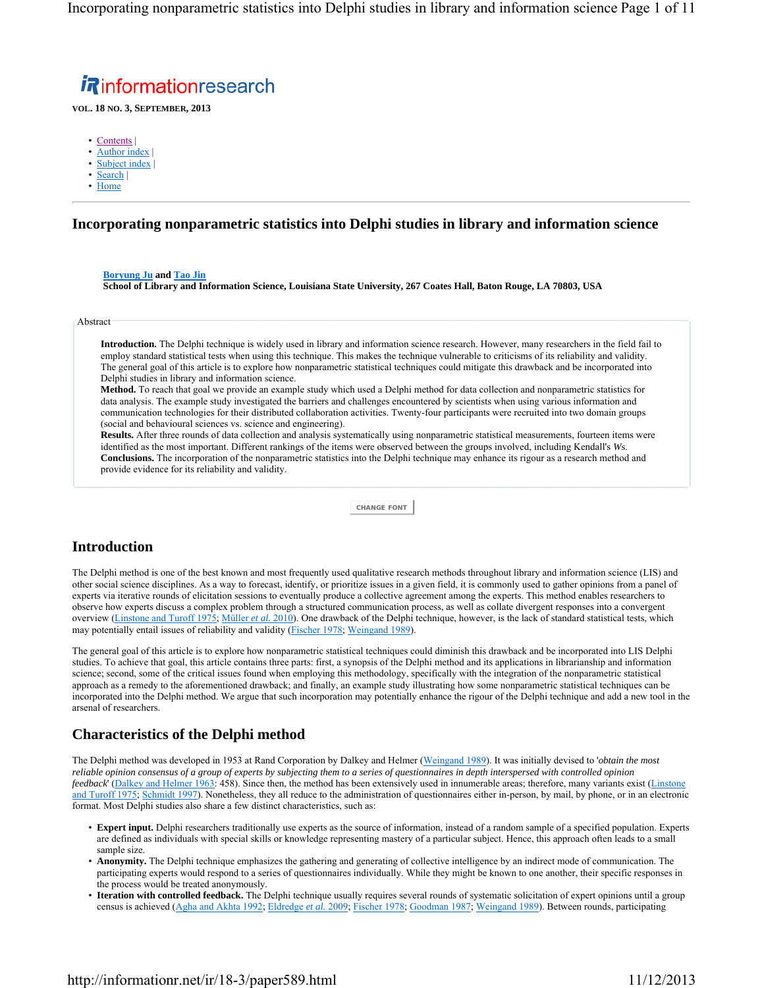Incorporating nonparametric statistics into Delphi studies in library and information science Page 1 of 11

# **Rinformationresearch**

**VOL. 18 NO. 3, SEPTEMBER, 2013**

- Contents |
- Author index
- Subject index
- Search |
- Home

### **Incorporating nonparametric statistics into Delphi studies in library and information science**

### **Boryung Ju and Tao Jin**

**School of Library and Information Science, Louisiana State University, 267 Coates Hall, Baton Rouge, LA 70803, USA**

Abstract

**Introduction.** The Delphi technique is widely used in library and information science research. However, many researchers in the field fail to employ standard statistical tests when using this technique. This makes the technique vulnerable to criticisms of its reliability and validity. The general goal of this article is to explore how nonparametric statistical techniques could mitigate this drawback and be incorporated into Delphi studies in library and information science.

**Method.** To reach that goal we provide an example study which used a Delphi method for data collection and nonparametric statistics for data analysis. The example study investigated the barriers and challenges encountered by scientists when using various information and communication technologies for their distributed collaboration activities. Twenty-four participants were recruited into two domain groups (social and behavioural sciences vs. science and engineering).

**Results.** After three rounds of data collection and analysis systematically using nonparametric statistical measurements, fourteen items were identified as the most important. Different rankings of the items were observed between the groups involved, including Kendall's *W*s. **Conclusions.** The incorporation of the nonparametric statistics into the Delphi technique may enhance its rigour as a research method and provide evidence for its reliability and validity.

**CHANGE FONT**

### **Introduction**

The Delphi method is one of the best known and most frequently used qualitative research methods throughout library and information science (LIS) and other social science disciplines. As a way to forecast, identify, or prioritize issues in a given field, it is commonly used to gather opinions from a panel of experts via iterative rounds of elicitation sessions to eventually produce a collective agreement among the experts. This method enables researchers to observe how experts discuss a complex problem through a structured communication process, as well as collate divergent responses into a convergent overview (Linstone and Turoff 1975; Müller *et al.* 2010). One drawback of the Delphi technique, however, is the lack of standard statistical tests, which may potentially entail issues of reliability and validity (*Fischer 1978*; *Weingand 1989*).

The general goal of this article is to explore how nonparametric statistical techniques could diminish this drawback and be incorporated into LIS Delphi studies. To achieve that goal, this article contains three parts: first, a synopsis of the Delphi method and its applications in librarianship and information science; second, some of the critical issues found when employing this methodology, specifically with the integration of the nonparametric statistical approach as a remedy to the aforementioned drawback; and finally, an example study illustrating how some nonparametric statistical techniques can be incorporated into the Delphi method. We argue that such incorporation may potentially enhance the rigour of the Delphi technique and add a new tool in the arsenal of researchers.

### **Characteristics of the Delphi method**

The Delphi method was developed in 1953 at Rand Corporation by Dalkey and Helmer (Weingand 1989). It was initially devised to '*obtain the most reliable opinion consensus of a group of experts by subjecting them to a series of questionnaires in depth interspersed with controlled opinion feedback*' (Dalkey and Helmer 1963: 458). Since then, the method has been extensively used in innumerable areas; therefore, many variants exist (Linstone and Turoff 1975; Schmidt 1997). Nonetheless, they all reduce to the administration of questionnaires either in-person, by mail, by phone, or in an electronic format. Most Delphi studies also share a few distinct characteristics, such as:

- **Expert input.** Delphi researchers traditionally use experts as the source of information, instead of a random sample of a specified population. Experts are defined as individuals with special skills or knowledge representing mastery of a particular subject. Hence, this approach often leads to a small sample size.
- **Anonymity.** The Delphi technique emphasizes the gathering and generating of collective intelligence by an indirect mode of communication. The participating experts would respond to a series of questionnaires individually. While they might be known to one another, their specific responses in the process would be treated anonymously.
- **Iteration with controlled feedback.** The Delphi technique usually requires several rounds of systematic solicitation of expert opinions until a group census is achieved (Agha and Akhta 1992; Eldredge *et al.* 2009; Fischer 1978; Goodman 1987; Weingand 1989). Between rounds, participating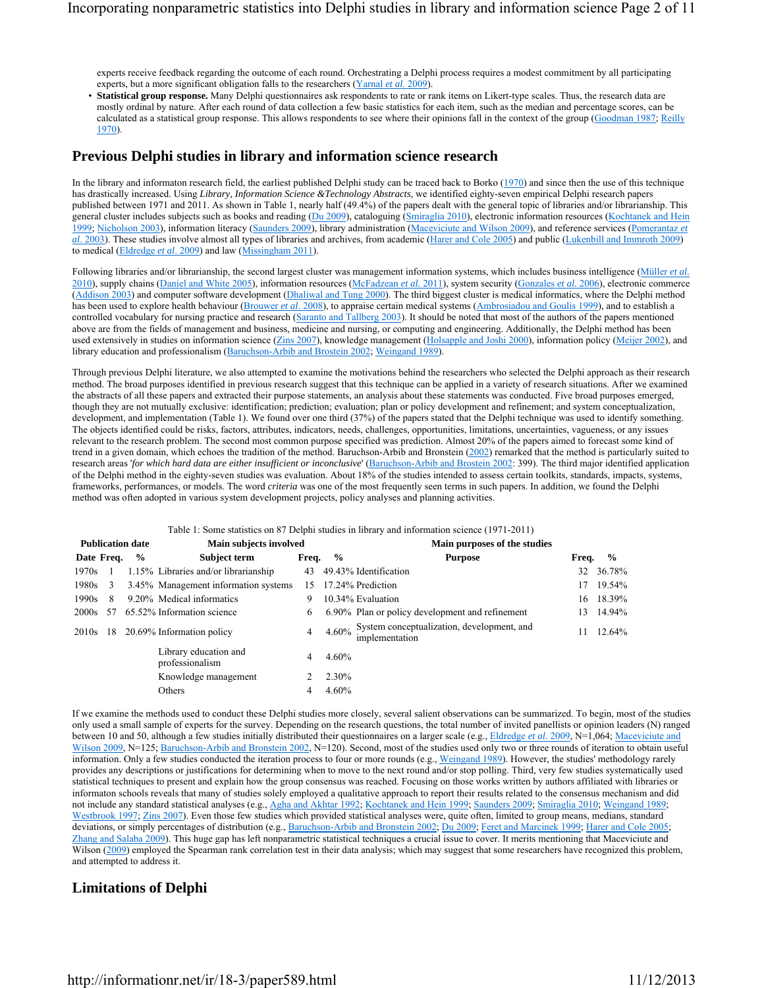experts receive feedback regarding the outcome of each round. Orchestrating a Delphi process requires a modest commitment by all participating experts, but a more significant obligation falls to the researchers (Yarnal *et al*. 2009).

• **Statistical group response.** Many Delphi questionnaires ask respondents to rate or rank items on Likert-type scales. Thus, the research data are mostly ordinal by nature. After each round of data collection a few basic statistics for each item, such as the median and percentage scores, can be calculated as a statistical group response. This allows respondents to see where their opinions fall in the context of the group (Goodman 1987; Reilly 1970).

### **Previous Delphi studies in library and information science research**

In the library and informaton research field, the earliest published Delphi study can be traced back to Borko  $(1970)$  and since then the use of this technique has drastically increased. Using *Library, Information Science &Technology Abstracts*, we identified eighty-seven empirical Delphi research papers published between 1971 and 2011. As shown in Table 1, nearly half (49.4%) of the papers dealt with the general topic of libraries and/or librarianship. This general cluster includes subjects such as books and reading (Du 2009), cataloguing (Smiraglia 2010), electronic information resources (Kochtanek and Hein 1999; Nicholson 2003), information literacy (Saunders 2009), library administration (Maceviciute and Wilson 2009), and reference services (Pomerantaz *et al*. 2003). These studies involve almost all types of libraries and archives, from academic (Harer and Cole 2005) and public (Lukenbill and Immroth 2009) to medical (Eldredge *et al*. 2009) and law (Missingham 2011).

Following libraries and/or librarianship, the second largest cluster was management information systems, which includes business intelligence (Müller *et al.*) 2010), supply chains (Daniel and White 2005), information resources (McFadzean *et al.* 2011), system security (Gonzales *et al.* 2006), electronic commerce (Addison 2003) and computer software development (Dhaliwal and Tung 2000). The third biggest cluster is medical informatics, where the Delphi method has been used to explore health behaviour (Brouwer *et al*. 2008), to appraise certain medical systems (Ambrosiadou and Goulis 1999), and to establish a controlled vocabulary for nursing practice and research (Saranto and Tallberg 2003). It should be noted that most of the authors of the papers mentioned above are from the fields of management and business, medicine and nursing, or computing and engineering. Additionally, the Delphi method has been used extensively in studies on information science (Zins 2007), knowledge management (Holsapple and Joshi 2000), information policy (Meijer 2002), and library education and professionalism (Baruchson-Arbib and Brostein 2002; Weingand 1989).

Through previous Delphi literature, we also attempted to examine the motivations behind the researchers who selected the Delphi approach as their research method. The broad purposes identified in previous research suggest that this technique can be applied in a variety of research situations. After we examined the abstracts of all these papers and extracted their purpose statements, an analysis about these statements was conducted. Five broad purposes emerged, though they are not mutually exclusive: identification; prediction; evaluation; plan or policy development and refinement; and system conceptualization, development, and implementation (Table 1). We found over one third (37%) of the papers stated that the Delphi technique was used to identify something. The objects identified could be risks, factors, attributes, indicators, needs, challenges, opportunities, limitations, uncertainties, vagueness, or any issues relevant to the research problem. The second most common purpose specified was prediction. Almost 20% of the papers aimed to forecast some kind of trend in a given domain, which echoes the tradition of the method. Baruchson-Arbib and Bronstein (2002) remarked that the method is particularly suited to research areas '*for which hard data are either insufficient or inconclusive*' (Baruchson-Arbib and Brostein 2002: 399). The third major identified application of the Delphi method in the eighty-seven studies was evaluation. About 18% of the studies intended to assess certain toolkits, standards, impacts, systems, frameworks, performances, or models. The word *criteria* was one of the most frequently seen terms in such papers. In addition, we found the Delphi method was often adopted in various system development projects, policy analyses and planning activities.

#### Table 1: Some statistics on 87 Delphi studies in library and information science (1971-2011)

|             |    | <b>Publication date</b> | Main subjects involved                   |       |               | Main purposes of the studies                                 |       |               |
|-------------|----|-------------------------|------------------------------------------|-------|---------------|--------------------------------------------------------------|-------|---------------|
| Date Freq.  |    | $\frac{6}{9}$           | Subject term                             | Freq. | $\frac{0}{0}$ | <b>Purpose</b>                                               | Freq. | $\frac{6}{9}$ |
| 1970s       |    |                         | 1.15% Libraries and/or librarianship     | 43    |               | 49.43% Identification                                        | 32    | 36.78%        |
| $1980s - 3$ |    |                         | 3.45% Management information systems     |       |               | 15 17.24% Prediction                                         | 17    | 19.54%        |
| 1990s       | 8  |                         | 9.20% Medical informatics                | 9     |               | 10.34% Evaluation                                            | 16    | 18.39%        |
| 2000s       | 57 |                         | 65.52% Information science               | 6     |               | 6.90% Plan or policy development and refinement              | 13    | 14.94%        |
| 2010s       | 18 |                         | 20.69% Information policy                | 4     | 4.60%         | System conceptualization, development, and<br>implementation | 11    | 12.64%        |
|             |    |                         | Library education and<br>professionalism | 4     | $4.60\%$      |                                                              |       |               |
|             |    |                         | Knowledge management                     |       | $2.30\%$      |                                                              |       |               |
|             |    |                         | Others                                   | 4     | 4.60%         |                                                              |       |               |

If we examine the methods used to conduct these Delphi studies more closely, several salient observations can be summarized. To begin, most of the studies only used a small sample of experts for the survey. Depending on the research questions, the total number of invited panellists or opinion leaders (N) ranged between 10 and 50, although a few studies initially distributed their questionnaires on a larger scale (e.g., **Eldredge** *et al.* 2009, N=1,064; Maceviciute and Wilson 2009, N=125; Baruchson-Arbib and Bronstein 2002, N=120). Second, most of the studies used only two or three rounds of iteration to obtain useful information. Only a few studies conducted the iteration process to four or more rounds (e.g., Weingand 1989). However, the studies' methodology rarely provides any descriptions or justifications for determining when to move to the next round and/or stop polling. Third, very few studies systematically used statistical techniques to present and explain how the group consensus was reached. Focusing on those works written by authors affiliated with libraries or informaton schools reveals that many of studies solely employed a qualitative approach to report their results related to the consensus mechanism and did not include any standard statistical analyses (e.g., Agha and Akhtar 1992; Kochtanek and Hein 1999; Saunders 2009; Smiraglia 2010; Weingand 1989; Westbrook 1997; Zins 2007). Even those few studies which provided statistical analyses were, quite often, limited to group means, medians, standard deviations, or simply percentages of distribution (e.g., Baruchson-Arbib and Bronstein 2002; Du 2009; Feret and Marcinek 1999; Harer and Cole 2005; Zhang and Salaba 2009). This huge gap has left nonparametric statistical techniques a crucial issue to cover. It merits mentioning that Maceviciute and Wilson (2009) employed the Spearman rank correlation test in their data analysis; which may suggest that some researchers have recognized this problem, and attempted to address it.

### **Limitations of Delphi**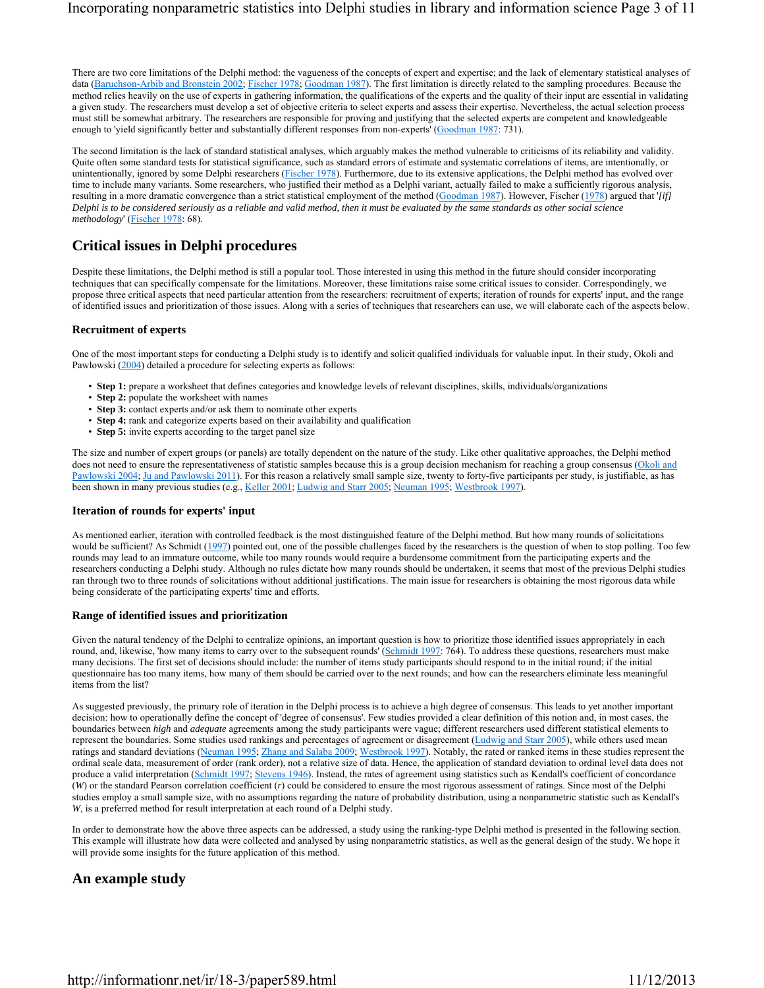There are two core limitations of the Delphi method: the vagueness of the concepts of expert and expertise; and the lack of elementary statistical analyses of data (Baruchson-Arbib and Bronstein 2002; Fischer 1978; Goodman 1987). The first limitation is directly related to the sampling procedures. Because the method relies heavily on the use of experts in gathering information, the qualifications of the experts and the quality of their input are essential in validating a given study. The researchers must develop a set of objective criteria to select experts and assess their expertise. Nevertheless, the actual selection process must still be somewhat arbitrary. The researchers are responsible for proving and justifying that the selected experts are competent and knowledgeable enough to 'yield significantly better and substantially different responses from non-experts' (Goodman 1987: 731).

The second limitation is the lack of standard statistical analyses, which arguably makes the method vulnerable to criticisms of its reliability and validity. Quite often some standard tests for statistical significance, such as standard errors of estimate and systematic correlations of items, are intentionally, or unintentionally, ignored by some Delphi researchers (Fischer 1978). Furthermore, due to its extensive applications, the Delphi method has evolved over time to include many variants. Some researchers, who justified their method as a Delphi variant, actually failed to make a sufficiently rigorous analysis, resulting in a more dramatic convergence than a strict statistical employment of the method (Goodman 1987). However, Fischer (1978) argued that '*[if] Delphi is to be considered seriously as a reliable and valid method, then it must be evaluated by the same standards as other social science methodology*' (Fischer 1978: 68).

# **Critical issues in Delphi procedures**

Despite these limitations, the Delphi method is still a popular tool. Those interested in using this method in the future should consider incorporating techniques that can specifically compensate for the limitations. Moreover, these limitations raise some critical issues to consider. Correspondingly, we propose three critical aspects that need particular attention from the researchers: recruitment of experts; iteration of rounds for experts' input, and the range of identified issues and prioritization of those issues. Along with a series of techniques that researchers can use, we will elaborate each of the aspects below.

### **Recruitment of experts**

One of the most important steps for conducting a Delphi study is to identify and solicit qualified individuals for valuable input. In their study, Okoli and Pawlowski (2004) detailed a procedure for selecting experts as follows:

- **Step 1:** prepare a worksheet that defines categories and knowledge levels of relevant disciplines, skills, individuals/organizations
- **Step 2:** populate the worksheet with names
- **Step 3:** contact experts and/or ask them to nominate other experts
- **Step 4:** rank and categorize experts based on their availability and qualification
- **Step 5:** invite experts according to the target panel size

The size and number of expert groups (or panels) are totally dependent on the nature of the study. Like other qualitative approaches, the Delphi method does not need to ensure the representativeness of statistic samples because this is a group decision mechanism for reaching a group consensus (Okoli and Pawlowski 2004; Ju and Pawlowski 2011). For this reason a relatively small sample size, twenty to forty-five participants per study, is justifiable, as has been shown in many previous studies (e.g., Keller 2001; Ludwig and Starr 2005; Neuman 1995; Westbrook 1997).

#### **Iteration of rounds for experts' input**

As mentioned earlier, iteration with controlled feedback is the most distinguished feature of the Delphi method. But how many rounds of solicitations would be sufficient? As Schmidt (1997) pointed out, one of the possible challenges faced by the researchers is the question of when to stop polling. Too few rounds may lead to an immature outcome, while too many rounds would require a burdensome commitment from the participating experts and the researchers conducting a Delphi study. Although no rules dictate how many rounds should be undertaken, it seems that most of the previous Delphi studies ran through two to three rounds of solicitations without additional justifications. The main issue for researchers is obtaining the most rigorous data while being considerate of the participating experts' time and efforts.

#### **Range of identified issues and prioritization**

Given the natural tendency of the Delphi to centralize opinions, an important question is how to prioritize those identified issues appropriately in each round, and, likewise, 'how many items to carry over to the subsequent rounds' (Schmidt 1997: 764). To address these questions, researchers must make many decisions. The first set of decisions should include: the number of items study participants should respond to in the initial round; if the initial questionnaire has too many items, how many of them should be carried over to the next rounds; and how can the researchers eliminate less meaningful items from the list?

As suggested previously, the primary role of iteration in the Delphi process is to achieve a high degree of consensus. This leads to yet another important decision: how to operationally define the concept of 'degree of consensus'. Few studies provided a clear definition of this notion and, in most cases, the boundaries between *high* and *adequate* agreements among the study participants were vague; different researchers used different statistical elements to represent the boundaries. Some studies used rankings and percentages of agreement or disagreement (Ludwig and Starr 2005), while others used mean ratings and standard deviations (Neuman 1995; Zhang and Salaba 2009; Westbrook 1997). Notably, the rated or ranked items in these studies represent the ordinal scale data, measurement of order (rank order), not a relative size of data. Hence, the application of standard deviation to ordinal level data does not produce a valid interpretation (Schmidt 1997; Stevens 1946). Instead, the rates of agreement using statistics such as Kendall's coefficient of concordance (*W*) or the standard Pearson correlation coefficient (*r*) could be considered to ensure the most rigorous assessment of ratings. Since most of the Delphi studies employ a small sample size, with no assumptions regarding the nature of probability distribution, using a nonparametric statistic such as Kendall's *W*, is a preferred method for result interpretation at each round of a Delphi study.

In order to demonstrate how the above three aspects can be addressed, a study using the ranking-type Delphi method is presented in the following section. This example will illustrate how data were collected and analysed by using nonparametric statistics, as well as the general design of the study. We hope it will provide some insights for the future application of this method.

## **An example study**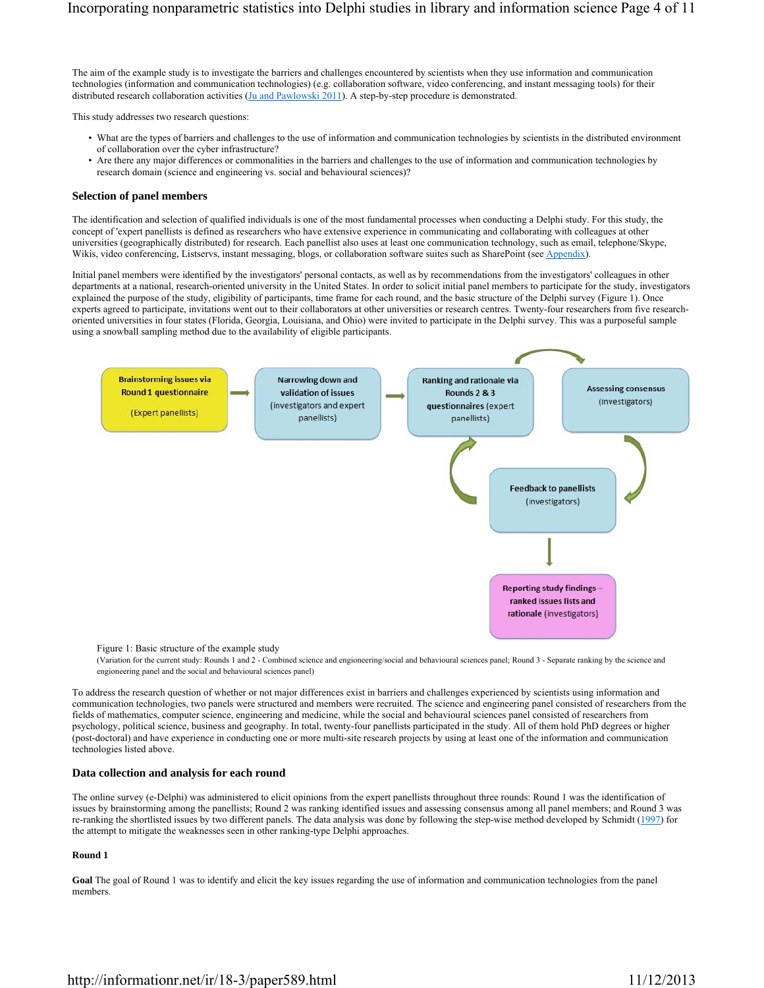The aim of the example study is to investigate the barriers and challenges encountered by scientists when they use information and communication technologies (information and communication technologies) (e.g. collaboration software, video conferencing, and instant messaging tools) for their distributed research collaboration activities (Ju and Pawlowski 2011). A step-by-step procedure is demonstrated.

This study addresses two research questions:

- What are the types of barriers and challenges to the use of information and communication technologies by scientists in the distributed environment of collaboration over the cyber infrastructure?
- Are there any major differences or commonalities in the barriers and challenges to the use of information and communication technologies by research domain (science and engineering vs. social and behavioural sciences)?

#### **Selection of panel members**

The identification and selection of qualified individuals is one of the most fundamental processes when conducting a Delphi study. For this study, the concept of 'expert panellists is defined as researchers who have extensive experience in communicating and collaborating with colleagues at other universities (geographically distributed) for research. Each panellist also uses at least one communication technology, such as email, telephone/Skype, Wikis, video conferencing, Listservs, instant messaging, blogs, or collaboration software suites such as SharePoint (see Appendix).

Initial panel members were identified by the investigators' personal contacts, as well as by recommendations from the investigators' colleagues in other departments at a national, research-oriented university in the United States. In order to solicit initial panel members to participate for the study, investigators explained the purpose of the study, eligibility of participants, time frame for each round, and the basic structure of the Delphi survey (Figure 1). Once experts agreed to participate, invitations went out to their collaborators at other universities or research centres. Twenty-four researchers from five researchoriented universities in four states (Florida, Georgia, Louisiana, and Ohio) were invited to participate in the Delphi survey. This was a purposeful sample using a snowball sampling method due to the availability of eligible participants.



Figure 1: Basic structure of the example study

(Variation for the current study: Rounds 1 and 2 - Combined science and engioneering/social and behavioural sciences panel; Round 3 - Separate ranking by the science and engioneering panel and the social and behavioural sciences panel)

To address the research question of whether or not major differences exist in barriers and challenges experienced by scientists using information and communication technologies, two panels were structured and members were recruited. The science and engineering panel consisted of researchers from the fields of mathematics, computer science, engineering and medicine, while the social and behavioural sciences panel consisted of researchers from psychology, political science, business and geography. In total, twenty-four panellists participated in the study. All of them hold PhD degrees or higher (post-doctoral) and have experience in conducting one or more multi-site research projects by using at least one of the information and communication technologies listed above.

#### **Data collection and analysis for each round**

The online survey (e-Delphi) was administered to elicit opinions from the expert panellists throughout three rounds: Round 1 was the identification of issues by brainstorming among the panellists; Round 2 was ranking identified issues and assessing consensus among all panel members; and Round 3 was re-ranking the shortlisted issues by two different panels. The data analysis was done by following the step-wise method developed by Schmidt (1997) for the attempt to mitigate the weaknesses seen in other ranking-type Delphi approaches.

#### **Round 1**

**Goal** The goal of Round 1 was to identify and elicit the key issues regarding the use of information and communication technologies from the panel members.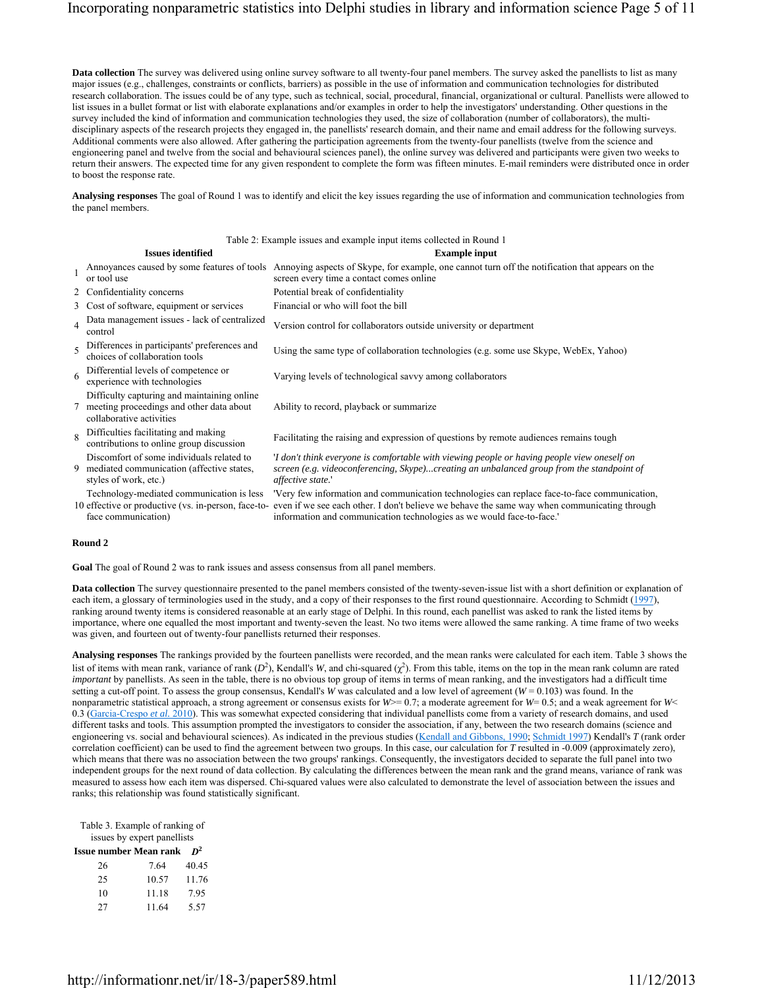**Data collection** The survey was delivered using online survey software to all twenty-four panel members. The survey asked the panellists to list as many major issues (e.g., challenges, constraints or conflicts, barriers) as possible in the use of information and communication technologies for distributed research collaboration. The issues could be of any type, such as technical, social, procedural, financial, organizational or cultural. Panellists were allowed to list issues in a bullet format or list with elaborate explanations and/or examples in order to help the investigators' understanding. Other questions in the survey included the kind of information and communication technologies they used, the size of collaboration (number of collaborators), the multidisciplinary aspects of the research projects they engaged in, the panellists' research domain, and their name and email address for the following surveys. Additional comments were also allowed. After gathering the participation agreements from the twenty-four panellists (twelve from the science and engioneering panel and twelve from the social and behavioural sciences panel), the online survey was delivered and participants were given two weeks to return their answers. The expected time for any given respondent to complete the form was fifteen minutes. E-mail reminders were distributed once in order to boost the response rate.

**Analysing responses** The goal of Round 1 was to identify and elicit the key issues regarding the use of information and communication technologies from the panel members.

|              |                                                                                                                         | Table 2: Example issues and example input items collected in Round 1                                                                                                                                                                                                 |
|--------------|-------------------------------------------------------------------------------------------------------------------------|----------------------------------------------------------------------------------------------------------------------------------------------------------------------------------------------------------------------------------------------------------------------|
|              | <b>Issues identified</b>                                                                                                | <b>Example input</b>                                                                                                                                                                                                                                                 |
|              | or tool use                                                                                                             | Annoyances caused by some features of tools Annoying aspects of Skype, for example, one cannot turn off the notification that appears on the<br>screen every time a contact comes online                                                                             |
|              | 2 Confidentiality concerns                                                                                              | Potential break of confidentiality                                                                                                                                                                                                                                   |
|              | 3 Cost of software, equipment or services                                                                               | Financial or who will foot the bill                                                                                                                                                                                                                                  |
| $\Delta$     | Data management issues - lack of centralized<br>control                                                                 | Version control for collaborators outside university or department                                                                                                                                                                                                   |
|              | Differences in participants' preferences and<br>choices of collaboration tools                                          | Using the same type of collaboration technologies (e.g. some use Skype, WebEx, Yahoo)                                                                                                                                                                                |
| 6            | Differential levels of competence or<br>experience with technologies                                                    | Varying levels of technological savvy among collaborators                                                                                                                                                                                                            |
|              | Difficulty capturing and maintaining online<br>7 meeting proceedings and other data about<br>collaborative activities   | Ability to record, playback or summarize                                                                                                                                                                                                                             |
| $\mathbf{Q}$ | Difficulties facilitating and making<br>contributions to online group discussion                                        | Facilitating the raising and expression of questions by remote audiences remains tough                                                                                                                                                                               |
|              | Discomfort of some individuals related to<br>9 mediated communication (affective states,<br>styles of work, etc.)       | 'I don't think everyone is comfortable with viewing people or having people view oneself on<br>screen (e.g. videoconferencing, Skype)creating an unbalanced group from the standpoint of<br>affective state.'                                                        |
|              | Technology-mediated communication is less<br>10 effective or productive (vs. in-person, face-to-<br>face communication) | 'Very few information and communication technologies can replace face-to-face communication,<br>even if we see each other. I don't believe we behave the same way when communicating through<br>information and communication technologies as we would face-to-face. |

#### **Round 2**

**Goal** The goal of Round 2 was to rank issues and assess consensus from all panel members.

**Data collection** The survey questionnaire presented to the panel members consisted of the twenty-seven-issue list with a short definition or explanation of each item, a glossary of terminologies used in the study, and a copy of their responses to the first round questionnaire. According to Schmidt (1997), ranking around twenty items is considered reasonable at an early stage of Delphi. In this round, each panellist was asked to rank the listed items by importance, where one equalled the most important and twenty-seven the least. No two items were allowed the same ranking. A time frame of two weeks was given, and fourteen out of twenty-four panellists returned their responses.

**Analysing responses** The rankings provided by the fourteen panellists were recorded, and the mean ranks were calculated for each item. Table 3 shows the list of items with mean rank, variance of rank  $(D^2)$ , Kendall's *W*, and chi-squared  $(\chi^2)$ . From this table, items on the top in the mean rank column are rated *important* by panellists. As seen in the table, there is no obvious top group of items in terms of mean ranking, and the investigators had a difficult time setting a cut-off point. To assess the group consensus, Kendall's *W* was calculated and a low level of agreement ( $W = 0.103$ ) was found. In the nonparametric statistical approach, a strong agreement or consensus exists for  $W>0.7$ ; a moderate agreement for  $W=0.5$ ; and a weak agreement for  $W<sub>0</sub>$ 0.3 (Garcia-Crespo *et al.* 2010). This was somewhat expected considering that individual panellists come from a variety of research domains, and used different tasks and tools. This assumption prompted the investigators to consider the association, if any, between the two research domains (science and engioneering vs. social and behavioural sciences). As indicated in the previous studies (Kendall and Gibbons, 1990; Schmidt 1997) Kendall's *T* (rank order correlation coefficient) can be used to find the agreement between two groups. In this case, our calculation for *T* resulted in -0.009 (approximately zero), which means that there was no association between the two groups' rankings. Consequently, the investigators decided to separate the full panel into two independent groups for the next round of data collection. By calculating the differences between the mean rank and the grand means, variance of rank was measured to assess how each item was dispersed. Chi-squared values were also calculated to demonstrate the level of association between the issues and ranks; this relationship was found statistically significant.

Table 3. Example of ranking of issues by expert panellists

| <b>Issue number Mean rank</b> $D^2$ |  |  |
|-------------------------------------|--|--|

| 26 | 7.64  | 40.45 |
|----|-------|-------|
| 25 | 10.57 | 11.76 |
| 10 | 11.18 | 7.95  |
| 27 | 11.64 | 5.57  |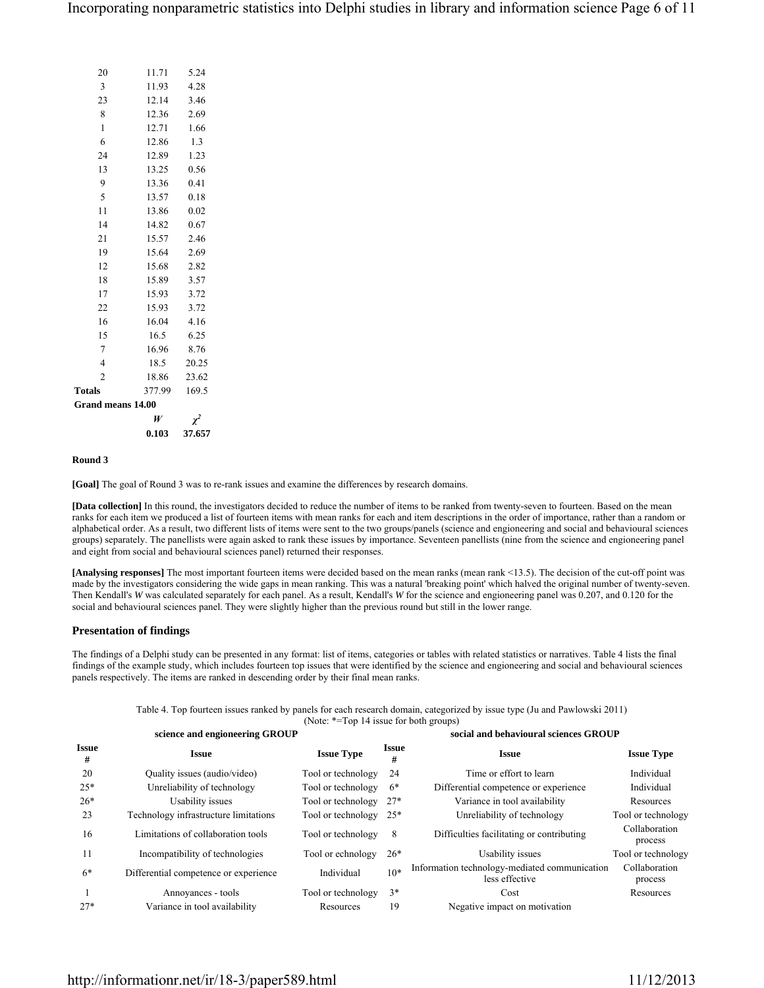|                   | 0.103  | 37.657   |
|-------------------|--------|----------|
|                   | W      | $\chi^2$ |
| Grand means 14.00 |        |          |
| <b>Totals</b>     | 377.99 | 169.5    |
| $\overline{2}$    | 18.86  | 23.62    |
| $\overline{4}$    | 18.5   | 20.25    |
| 7                 | 16.96  | 8.76     |
| 15                | 16.5   | 6.25     |
| 16                | 16.04  | 4.16     |
| 22                | 15.93  | 3.72     |
| 17                | 15.93  | 3.72     |
| 18                | 15.89  | 3.57     |
| 12                | 15.68  | 2.82     |
| 19                | 15.64  | 2.69     |
| 21                | 15.57  | 2.46     |
| 14                | 14.82  | 0.67     |
| 11                | 13.86  | 0.02     |
| 5                 | 13.57  | 0.18     |
| 9                 | 13.36  | 0.41     |
| 13                | 13.25  | 0.56     |
| 24                | 12.89  | 1.23     |
| 6                 | 12.86  | 1.3      |
| $\mathbf{1}$      | 12.71  | 1.66     |
| 8                 | 12.36  | 2.69     |
| 23                | 12.14  | 3.46     |
| 3                 | 11.93  | 4.28     |
| 20                | 11.71  | 5.24     |

#### **Round 3**

**[Goal]** The goal of Round 3 was to re-rank issues and examine the differences by research domains.

**[Data collection]** In this round, the investigators decided to reduce the number of items to be ranked from twenty-seven to fourteen. Based on the mean ranks for each item we produced a list of fourteen items with mean ranks for each and item descriptions in the order of importance, rather than a random or alphabetical order. As a result, two different lists of items were sent to the two groups/panels (science and engioneering and social and behavioural sciences groups) separately. The panellists were again asked to rank these issues by importance. Seventeen panellists (nine from the science and engioneering panel and eight from social and behavioural sciences panel) returned their responses.

**[Analysing responses]** The most important fourteen items were decided based on the mean ranks (mean rank <13.5). The decision of the cut-off point was made by the investigators considering the wide gaps in mean ranking. This was a natural 'breaking point' which halved the original number of twenty-seven. Then Kendall's *W* was calculated separately for each panel. As a result, Kendall's *W* for the science and engioneering panel was 0.207, and 0.120 for the social and behavioural sciences panel. They were slightly higher than the previous round but still in the lower range.

#### **Presentation of findings**

The findings of a Delphi study can be presented in any format: list of items, categories or tables with related statistics or narratives. Table 4 lists the final findings of the example study, which includes fourteen top issues that were identified by the science and engioneering and social and behavioural sciences panels respectively. The items are ranked in descending order by their final mean ranks.

> Table 4. Top fourteen issues ranked by panels for each research domain, categorized by issue type (Ju and Pawlowski 2011) (Note: \*=Top 14 issue for both groups)

|                   | science and engioneering GROUP        |                    |                   | social and behavioural sciences GROUP                           |                          |
|-------------------|---------------------------------------|--------------------|-------------------|-----------------------------------------------------------------|--------------------------|
| <b>Issue</b><br># | <b>Issue</b>                          | <b>Issue Type</b>  | <b>Issue</b><br># | <b>Issue</b>                                                    | <b>Issue Type</b>        |
| 20                | Quality issues (audio/video)          | Tool or technology | 24                | Time or effort to learn                                         | Individual               |
| $25*$             | Unreliability of technology           | Tool or technology | 6*                | Differential competence or experience                           | Individual               |
| $26*$             | Usability issues                      | Tool or technology | $27*$             | Variance in tool availability                                   | Resources                |
| 23                | Technology infrastructure limitations | Tool or technology | $25*$             | Unreliability of technology                                     | Tool or technology       |
| 16                | Limitations of collaboration tools    | Tool or technology | 8                 | Difficulties facilitating or contributing                       | Collaboration<br>process |
| 11                | Incompatibility of technologies       | Tool or echnology  | $26*$             | Usability issues                                                | Tool or technology       |
| $6*$              | Differential competence or experience | Individual         | $10*$             | Information technology-mediated communication<br>less effective | Collaboration<br>process |
|                   | Annoyances - tools                    | Tool or technology | $3*$              | Cost                                                            | Resources                |
| $27*$             | Variance in tool availability         | Resources          | 19                | Negative impact on motivation                                   |                          |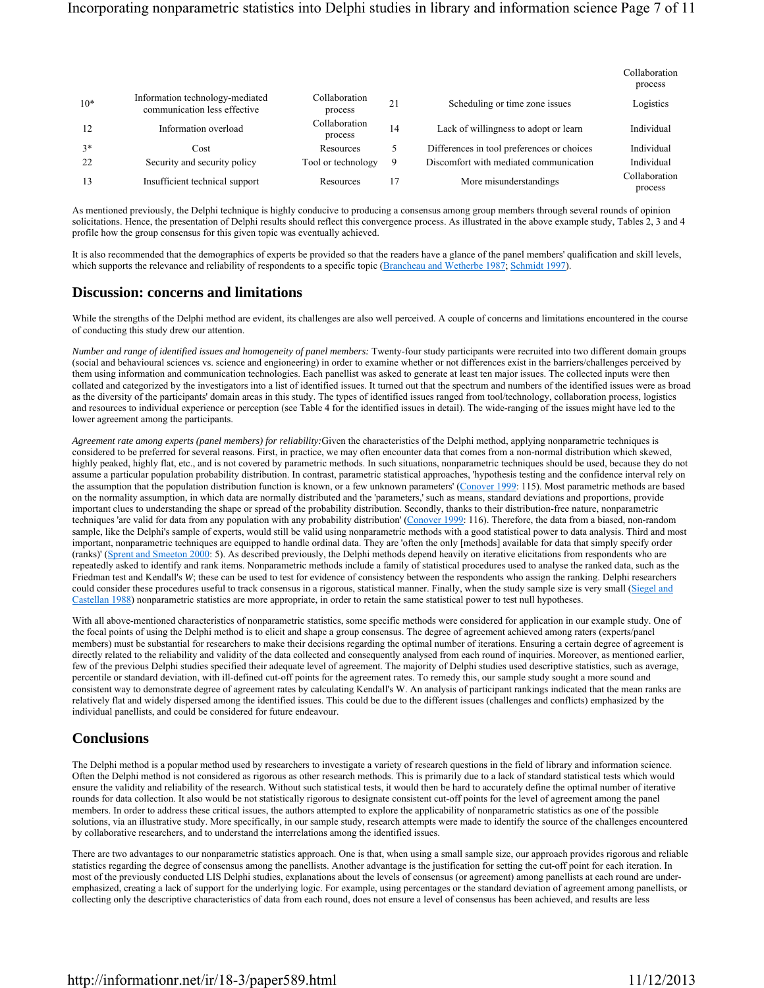|       |                                                                 |                          |    |                                            | Collaboration<br>process |
|-------|-----------------------------------------------------------------|--------------------------|----|--------------------------------------------|--------------------------|
| $10*$ | Information technology-mediated<br>communication less effective | Collaboration<br>process | 21 | Scheduling or time zone issues             | Logistics                |
| 12    | Information overload                                            | Collaboration<br>process | 14 | Lack of willingness to adopt or learn      | Individual               |
| $3*$  | Cost                                                            | Resources                |    | Differences in tool preferences or choices | Individual               |
| 22    | Security and security policy                                    | Tool or technology       | 9  | Discomfort with mediated communication     | Individual               |
| 13    | Insufficient technical support                                  | Resources                | 17 | More misunderstandings                     | Collaboration<br>process |

As mentioned previously, the Delphi technique is highly conducive to producing a consensus among group members through several rounds of opinion solicitations. Hence, the presentation of Delphi results should reflect this convergence process. As illustrated in the above example study, Tables 2, 3 and 4 profile how the group consensus for this given topic was eventually achieved.

It is also recommended that the demographics of experts be provided so that the readers have a glance of the panel members' qualification and skill levels, which supports the relevance and reliability of respondents to a specific topic (Brancheau and Wetherbe 1987; Schmidt 1997).

### **Discussion: concerns and limitations**

While the strengths of the Delphi method are evident, its challenges are also well perceived. A couple of concerns and limitations encountered in the course of conducting this study drew our attention.

*Number and range of identified issues and homogeneity of panel members:* Twenty-four study participants were recruited into two different domain groups (social and behavioural sciences vs. science and engioneering) in order to examine whether or not differences exist in the barriers/challenges perceived by them using information and communication technologies. Each panellist was asked to generate at least ten major issues. The collected inputs were then collated and categorized by the investigators into a list of identified issues. It turned out that the spectrum and numbers of the identified issues were as broad as the diversity of the participants' domain areas in this study. The types of identified issues ranged from tool/technology, collaboration process, logistics and resources to individual experience or perception (see Table 4 for the identified issues in detail). The wide-ranging of the issues might have led to the lower agreement among the participants.

*Agreement rate among experts (panel members) for reliability:*Given the characteristics of the Delphi method, applying nonparametric techniques is considered to be preferred for several reasons. First, in practice, we may often encounter data that comes from a non-normal distribution which skewed, highly peaked, highly flat, etc., and is not covered by parametric methods. In such situations, nonparametric techniques should be used, because they do not assume a particular population probability distribution. In contrast, parametric statistical approaches, 'hypothesis testing and the confidence interval rely on the assumption that the population distribution function is known, or a few unknown parameters' (Conover 1999: 115). Most parametric methods are based on the normality assumption, in which data are normally distributed and the 'parameters,' such as means, standard deviations and proportions, provide important clues to understanding the shape or spread of the probability distribution. Secondly, thanks to their distribution-free nature, nonparametric techniques 'are valid for data from any population with any probability distribution' (Conover 1999: 116). Therefore, the data from a biased, non-random sample, like the Delphi's sample of experts, would still be valid using nonparametric methods with a good statistical power to data analysis. Third and most important, nonparametric techniques are equipped to handle ordinal data. They are 'often the only [methods] available for data that simply specify order (ranks)' (Sprent and Smeeton 2000: 5). As described previously, the Delphi methods depend heavily on iterative elicitations from respondents who are repeatedly asked to identify and rank items. Nonparametric methods include a family of statistical procedures used to analyse the ranked data, such as the Friedman test and Kendall's *W*; these can be used to test for evidence of consistency between the respondents who assign the ranking. Delphi researchers could consider these procedures useful to track consensus in a rigorous, statistical manner. Finally, when the study sample size is very small (Siegel and Castellan 1988) nonparametric statistics are more appropriate, in order to retain the same statistical power to test null hypotheses.

With all above-mentioned characteristics of nonparametric statistics, some specific methods were considered for application in our example study. One of the focal points of using the Delphi method is to elicit and shape a group consensus. The degree of agreement achieved among raters (experts/panel members) must be substantial for researchers to make their decisions regarding the optimal number of iterations. Ensuring a certain degree of agreement is directly related to the reliability and validity of the data collected and consequently analysed from each round of inquiries. Moreover, as mentioned earlier, few of the previous Delphi studies specified their adequate level of agreement. The majority of Delphi studies used descriptive statistics, such as average, percentile or standard deviation, with ill-defined cut-off points for the agreement rates. To remedy this, our sample study sought a more sound and consistent way to demonstrate degree of agreement rates by calculating Kendall's W. An analysis of participant rankings indicated that the mean ranks are relatively flat and widely dispersed among the identified issues. This could be due to the different issues (challenges and conflicts) emphasized by the individual panellists, and could be considered for future endeavour.

### **Conclusions**

The Delphi method is a popular method used by researchers to investigate a variety of research questions in the field of library and information science. Often the Delphi method is not considered as rigorous as other research methods. This is primarily due to a lack of standard statistical tests which would ensure the validity and reliability of the research. Without such statistical tests, it would then be hard to accurately define the optimal number of iterative rounds for data collection. It also would be not statistically rigorous to designate consistent cut-off points for the level of agreement among the panel members. In order to address these critical issues, the authors attempted to explore the applicability of nonparametric statistics as one of the possible solutions, via an illustrative study. More specifically, in our sample study, research attempts were made to identify the source of the challenges encountered by collaborative researchers, and to understand the interrelations among the identified issues.

There are two advantages to our nonparametric statistics approach. One is that, when using a small sample size, our approach provides rigorous and reliable statistics regarding the degree of consensus among the panellists. Another advantage is the justification for setting the cut-off point for each iteration. In most of the previously conducted LIS Delphi studies, explanations about the levels of consensus (or agreement) among panellists at each round are underemphasized, creating a lack of support for the underlying logic. For example, using percentages or the standard deviation of agreement among panellists, or collecting only the descriptive characteristics of data from each round, does not ensure a level of consensus has been achieved, and results are less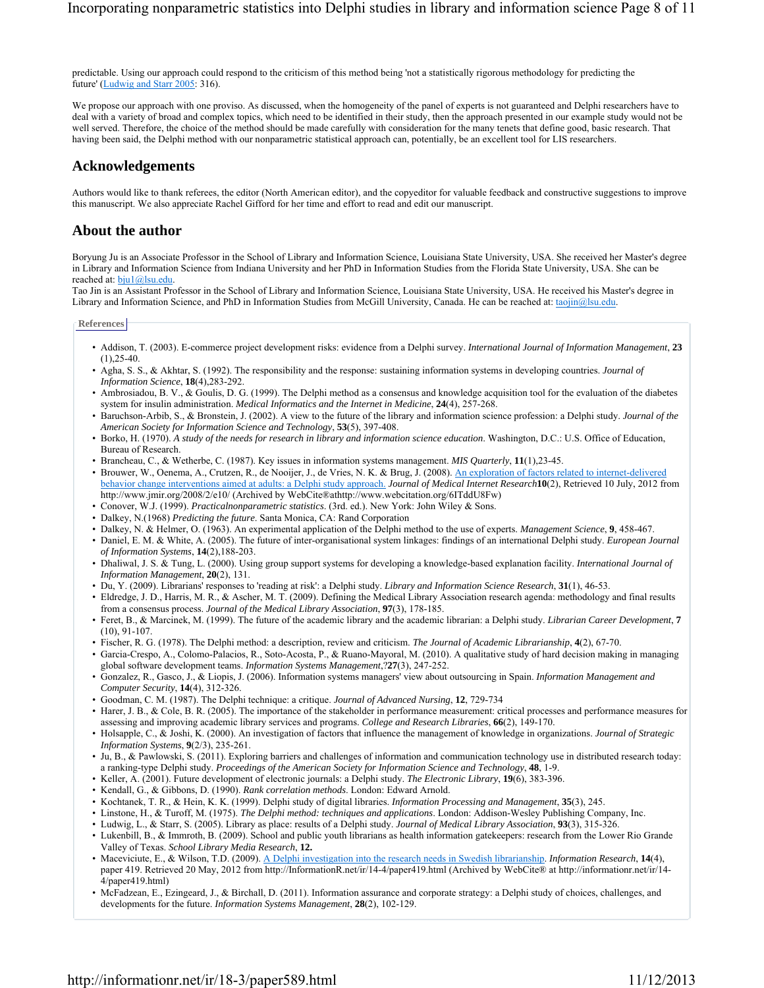predictable. Using our approach could respond to the criticism of this method being 'not a statistically rigorous methodology for predicting the future' (Ludwig and Starr 2005: 316).

We propose our approach with one proviso. As discussed, when the homogeneity of the panel of experts is not guaranteed and Delphi researchers have to deal with a variety of broad and complex topics, which need to be identified in their study, then the approach presented in our example study would not be well served. Therefore, the choice of the method should be made carefully with consideration for the many tenets that define good, basic research. That having been said, the Delphi method with our nonparametric statistical approach can, potentially, be an excellent tool for LIS researchers.

### **Acknowledgements**

Authors would like to thank referees, the editor (North American editor), and the copyeditor for valuable feedback and constructive suggestions to improve this manuscript. We also appreciate Rachel Gifford for her time and effort to read and edit our manuscript.

### **About the author**

Boryung Ju is an Associate Professor in the School of Library and Information Science, Louisiana State University, USA. She received her Master's degree in Library and Information Science from Indiana University and her PhD in Information Studies from the Florida State University, USA. She can be reached at: bju1@lsu.edu.

Tao Jin is an Assistant Professor in the School of Library and Information Science, Louisiana State University, USA. He received his Master's degree in Library and Information Science, and PhD in Information Studies from McGill University, Canada. He can be reached at: taojin@lsu.edu.

**References**

- Addison, T. (2003). E-commerce project development risks: evidence from a Delphi survey. *International Journal of Information Management*, **23**  $(1)$ , 25-40.
- Agha, S. S., & Akhtar, S. (1992). The responsibility and the response: sustaining information systems in developing countries. *Journal of Information Science*, **18**(4),283-292.
- Ambrosiadou, B. V., & Goulis, D. G. (1999). The Delphi method as a consensus and knowledge acquisition tool for the evaluation of the diabetes system for insulin administration. *Medical Informatics and the Internet in Medicine*, **24**(4), 257-268.
- Baruchson-Arbib, S., & Bronstein, J. (2002). A view to the future of the library and information science profession: a Delphi study. *Journal of the American Society for Information Science and Technology*, **53**(5), 397-408.
- Borko, H. (1970). *A study of the needs for research in library and information science education*. Washington, D.C.: U.S. Office of Education, Bureau of Research.
- Brancheau, C., & Wetherbe, C. (1987). Key issues in information systems management. *MIS Quarterly*, **11**(1),23-45.
- Brouwer, W., Oenema, A., Crutzen, R., de Nooijer, J., de Vries, N. K. & Brug, J. (2008). An exploration of factors related to internet-delivered behavior change interventions aimed at adults: a Delphi study approach. *Journal of Medical Internet Research***10**(2), Retrieved 10 July, 2012 from http://www.jmir.org/2008/2/e10/ (Archived by WebCite®athttp://www.webcitation.org/6ITddU8Fw)
- Conover, W.J. (1999). *Practicalnonparametric statistics*. (3rd. ed.). New York: John Wiley & Sons.
- Dalkey, N.(1968) *Predicting the future*. Santa Monica, CA: Rand Corporation
- Dalkey, N. & Helmer, O. (1963). An experimental application of the Delphi method to the use of experts. *Management Science*, **9**, 458-467.
- Daniel, E. M. & White, A. (2005). The future of inter-organisational system linkages: findings of an international Delphi study. *European Journal of Information Systems*, **14**(2),188-203.
- Dhaliwal, J. S. & Tung, L. (2000). Using group support systems for developing a knowledge-based explanation facility. *International Journal of Information Management*, **20**(2), 131.
- Du, Y. (2009). Librarians' responses to 'reading at risk': a Delphi study. *Library and Information Science Research*, **31**(1), 46-53.
- Eldredge, J. D., Harris, M. R., & Ascher, M. T. (2009). Defining the Medical Library Association research agenda: methodology and final results from a consensus process. *Journal of the Medical Library Association*, **97**(3), 178-185.
- Feret, B., & Marcinek, M. (1999). The future of the academic library and the academic librarian: a Delphi study. *Librarian Career Development*, **7** (10), 91-107.
- Fischer, R. G. (1978). The Delphi method: a description, review and criticism. *The Journal of Academic Librarianship*, **4**(2), 67-70.
- Garcia-Crespo, A., Colomo-Palacios, R., Soto-Acosta, P., & Ruano-Mayoral, M. (2010). A qualitative study of hard decision making in managing global software development teams. *Information Systems Management*,?**27**(3), 247-252.
- Gonzalez, R., Gasco, J., & Liopis, J. (2006). Information systems managers' view about outsourcing in Spain. *Information Management and Computer Security*, **14**(4), 312-326.
- Goodman, C. M. (1987). The Delphi technique: a critique. *Journal of Advanced Nursing*, **12**, 729-734
- Harer, J. B., & Cole, B. R. (2005). The importance of the stakeholder in performance measurement: critical processes and performance measures for assessing and improving academic library services and programs. *College and Research Libraries*, **66**(2), 149-170.
- Holsapple, C., & Joshi, K. (2000). An investigation of factors that influence the management of knowledge in organizations. *Journal of Strategic Information Systems*, **9**(2/3), 235-261.
- Ju, B., & Pawlowski, S. (2011). Exploring barriers and challenges of information and communication technology use in distributed research today: a ranking-type Delphi study. *Proceedings of the American Society for Information Science and Technology*, **48**, 1-9.
- Keller, A. (2001). Future development of electronic journals: a Delphi study. *The Electronic Library*, **19**(6), 383-396.
- Kendall, G., & Gibbons, D. (1990). *Rank correlation methods*. London: Edward Arnold.
- Kochtanek, T. R., & Hein, K. K. (1999). Delphi study of digital libraries. *Information Processing and Management*, **35**(3), 245.
- Linstone, H., & Turoff, M. (1975). *The Delphi method: techniques and applications*. London: Addison-Wesley Publishing Company, Inc.
- Ludwig, L., & Starr, S. (2005). Library as place: results of a Delphi study. *Journal of Medical Library Association*, **93**(3), 315-326.
- Lukenbill, B., & Immroth, B. (2009). School and public youth librarians as health information gatekeepers: research from the Lower Rio Grande Valley of Texas. *School Library Media Research*, **12.**
- Maceviciute, E., & Wilson, T.D. (2009). A Delphi investigation into the research needs in Swedish librarianship. *Information Research*, **14**(4), paper 419. Retrieved 20 May, 2012 from http://InformationR.net/ir/14-4/paper419.html (Archived by WebCite® at http://informationr.net/ir/14- 4/paper419.html)
- McFadzean, E., Ezingeard, J., & Birchall, D. (2011). Information assurance and corporate strategy: a Delphi study of choices, challenges, and developments for the future. *Information Systems Management*, **28**(2), 102-129.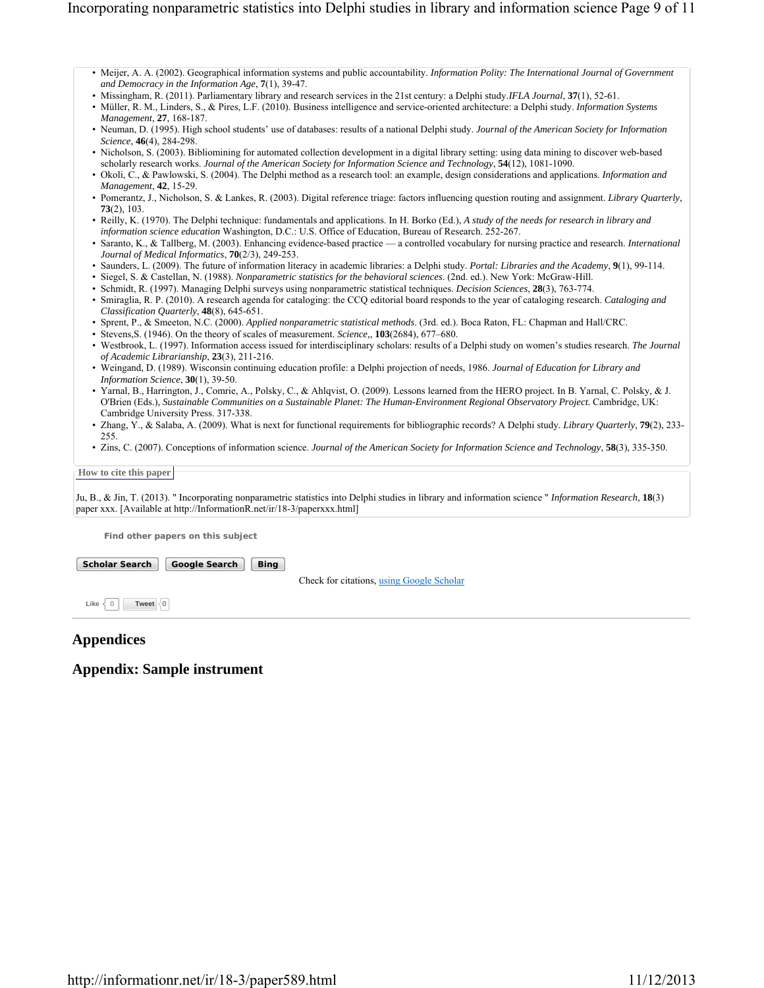- Meijer, A. A. (2002). Geographical information systems and public accountability. *Information Polity: The International Journal of Government and Democracy in the Information Age*, **7**(1), 39-47.
- Missingham, R. (2011). Parliamentary library and research services in the 21st century: a Delphi study.*IFLA Journal*, **37**(1), 52-61.
- Müller, R. M., Linders, S., & Pires, L.F. (2010). Business intelligence and service-oriented architecture: a Delphi study. *Information Systems Management*, **27**, 168-187.
- Neuman, D. (1995). High school students' use of databases: results of a national Delphi study. *Journal of the American Society for Information Science*, **46**(4), 284-298.
- Nicholson, S. (2003). Bibliomining for automated collection development in a digital library setting: using data mining to discover web-based scholarly research works. *Journal of the American Society for Information Science and Technology*, **54**(12), 1081-1090.
- Okoli, C., & Pawlowski, S. (2004). The Delphi method as a research tool: an example, design considerations and applications. *Information and Management*, **42**, 15-29.
- Pomerantz, J., Nicholson, S. & Lankes, R. (2003). Digital reference triage: factors influencing question routing and assignment. *Library Quarterly*, **73**(2), 103.
- Reilly, K. (1970). The Delphi technique: fundamentals and applications. In H. Borko (Ed.), *A study of the needs for research in library and information science education* Washington, D.C.: U.S. Office of Education, Bureau of Research. 252-267.
- Saranto, K., & Tallberg, M. (2003). Enhancing evidence-based practice a controlled vocabulary for nursing practice and research. *International Journal of Medical Informatics*, **70**(2/3), 249-253.
- Saunders, L. (2009). The future of information literacy in academic libraries: a Delphi study. *Portal: Libraries and the Academy*, **9**(1), 99-114.
- Siegel, S. & Castellan, N. (1988). *Nonparametric statistics for the behavioral sciences*. (2nd. ed.). New York: McGraw-Hill.
- Schmidt, R. (1997). Managing Delphi surveys using nonparametric statistical techniques. *Decision Sciences*, **28**(3), 763-774.
- Smiraglia, R. P. (2010). A research agenda for cataloging: the CCQ editorial board responds to the year of cataloging research. *Cataloging and Classification Quarterly*, **48**(8), 645-651.
- Sprent, P., & Smeeton, N.C. (2000). *Applied nonparametric statistical methods*. (3rd. ed.). Boca Raton, FL: Chapman and Hall/CRC.
- Stevens,S. (1946). On the theory of scales of measurement. *Science,*, **103**(2684), 677–680.
- Westbrook, L. (1997). Information access issued for interdisciplinary scholars: results of a Delphi study on women's studies research. *The Journal of Academic Librarianship*, **23**(3), 211-216.
- Weingand, D. (1989). Wisconsin continuing education profile: a Delphi projection of needs, 1986. *Journal of Education for Library and Information Science*, **30**(1), 39-50.
- Yarnal, B., Harrington, J., Comrie, A., Polsky, C., & Ahlqvist, O. (2009). Lessons learned from the HERO project. In B. Yarnal, C. Polsky, & J. O'Brien (Eds.), *Sustainable Communities on a Sustainable Planet: The Human-Environment Regional Observatory Project.* Cambridge, UK: Cambridge University Press. 317-338.
- Zhang, Y., & Salaba, A. (2009). What is next for functional requirements for bibliographic records? A Delphi study. *Library Quarterly*, **79**(2), 233- 255.
- Zins, C. (2007). Conceptions of information science. *Journal of the American Society for Information Science and Technology*, **58**(3), 335-350.

**How to cite this paper** 

Ju, B., & Jin, T. (2013). " Incorporating nonparametric statistics into Delphi studies in library and information science " *Information Research*, **18**(3) paper xxx. [Available at http://InformationR.net/ir/18-3/paperxxx.html]

**Find other papers on this subject**

| <b>Scholar Search</b> | <b>Google Search</b> | <b>Bing</b> |
|-----------------------|----------------------|-------------|
|                       |                      |             |

Check for citations, using Google Scholar

Like  $\langle 0 |$  **Tweet**  $\langle 0 |$ 

### **Appendices**

**Appendix: Sample instrument**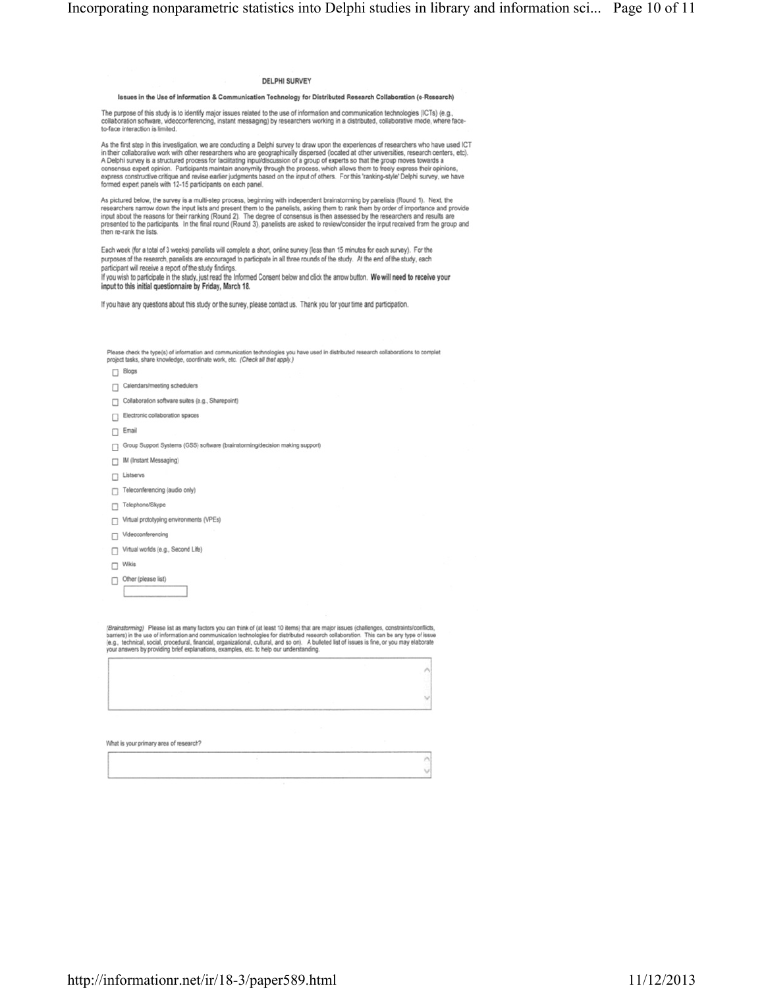#### DELPHI SURVEY

#### Issues in the Use of Information & Communication Technology for Distributed Research Collaboration (e-Research)

The purpose of this study is to identify major issues related to the use of information and communication technologies (ICTs) (e.g.,<br>collaboration software, videoconferencing, instant messaging) by researchers working in a

As the first step in this investigation, we are conducting a Delphi survey to draw upon the experiences of researchers who have used ICT in their collaborative work with other researchers who are geographically dispersed (

As pictured below, the survey is a multi-step process, beginning with independent brainstorming by panelists (Round 1). Next, the researchers narrow down the input lists and present-<br>researchers narrow down the input lists then re-rank the lists.

Each week (for a total of 3 weeks) panelists will complete a short, online survey (less than 15 minutes for each survey). For the purposes of the research, panelists are encouraged to participate in all three rounds of the study. At the end of the study, each<br>participant will receive a report of the study findings.

If you wish to participate in the study, just read the Informed Consent below and click the arrow button. We will need to receive your input to this initial questionnaire by Friday, March 18.

If you have any questions about this study or the survey, please contact us. Thank you for your time and participation.

Please check the type(s) of information and communication technologies you have used in distributed research collaborations to complet<br>project tasks, share knowledge, coordinate work, etc. (Check all that apply.)

- $\Box$  Blogs
- Calendars/meeting schedulers
- $\Box$  Collaboration software suites (e.g., Sharepoint)
- Electronic collaboration spaces
- $\Box$  Email
- Group Support Systems (GSS) software (brainstorming/decision making support)
- $\Box$  IM (Instant Messaging)
- $\Box$  Listservs
- Teleconferencing (audio only)
- Telephone/Skype
- Virtual prototyping environments (VPEs)
- $\Box$  Videoconferencing
- Virtual worlds (e.g., Second Life)
- $\Box$  Wikis
- Other (please list)

(Brainstorming) Please list as many factors you can think of (at least 10 items) that are major issues (challenges, constraints/conflicts,<br>barriers) in the use of information and communication technologies for distributed

| an an saoint Thomas Th |  |
|------------------------|--|